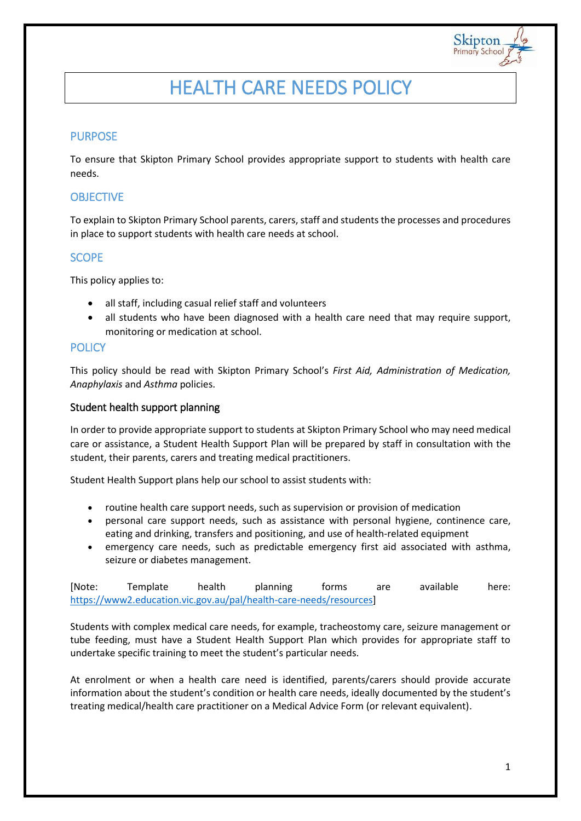

# HEALTH CARE NEEDS POLICY

# PURPOSE

To ensure that Skipton Primary School provides appropriate support to students with health care needs.

# **OBJECTIVE**

To explain to Skipton Primary School parents, carers, staff and students the processes and procedures in place to support students with health care needs at school.

# **SCOPE**

This policy applies to:

- all staff, including casual relief staff and volunteers
- all students who have been diagnosed with a health care need that may require support, monitoring or medication at school.

## **POLICY**

This policy should be read with Skipton Primary School's *First Aid, Administration of Medication, Anaphylaxis* and *Asthma* policies.

#### Student health support planning

In order to provide appropriate support to students at Skipton Primary School who may need medical care or assistance, a Student Health Support Plan will be prepared by staff in consultation with the student, their parents, carers and treating medical practitioners.

Student Health Support plans help our school to assist students with:

- routine health care support needs, such as supervision or provision of medication
- personal care support needs, such as assistance with personal hygiene, continence care, eating and drinking, transfers and positioning, and use of health-related equipment
- emergency care needs, such as predictable emergency first aid associated with asthma, seizure or diabetes management.

[Note: Template health planning forms are available here: [https://www2.education.vic.gov.au/pal/health-care-needs/resources\]](https://www2.education.vic.gov.au/pal/health-care-needs/resources)

Students with complex medical care needs, for example, tracheostomy care, seizure management or tube feeding, must have a Student Health Support Plan which provides for appropriate staff to undertake specific training to meet the student's particular needs.

At enrolment or when a health care need is identified, parents/carers should provide accurate information about the student's condition or health care needs, ideally documented by the student's treating medical/health care practitioner on a Medical Advice Form (or relevant equivalent).